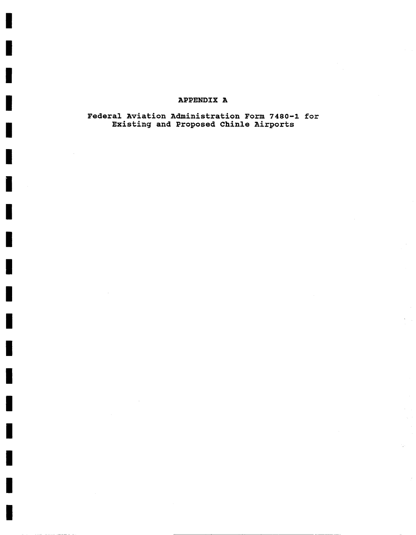## **APPENDIX A**

Federal Aviation Administration Form 7480-1 for Existing and Proposed Chinle Airports

H

П

J,

H

L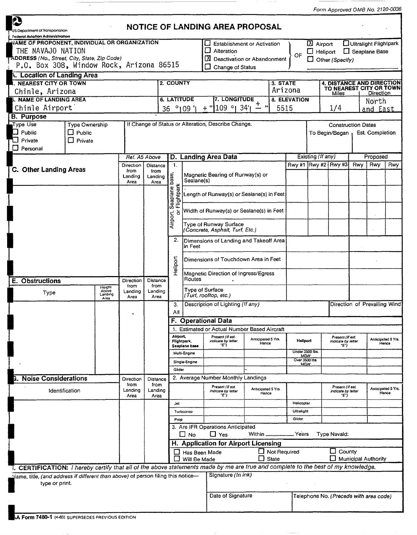|                                                                                                                                |                                                     |                                     |                         |                             |                      |                                                                              |                                    |                                                                                                     |                             |                                             |                                                 |                                                      | Form Approved OMB No. 2120-0036                |          |                                                 |                             |  |
|--------------------------------------------------------------------------------------------------------------------------------|-----------------------------------------------------|-------------------------------------|-------------------------|-----------------------------|----------------------|------------------------------------------------------------------------------|------------------------------------|-----------------------------------------------------------------------------------------------------|-----------------------------|---------------------------------------------|-------------------------------------------------|------------------------------------------------------|------------------------------------------------|----------|-------------------------------------------------|-----------------------------|--|
| <b>P</b>                                                                                                                       |                                                     |                                     |                         |                             |                      |                                                                              |                                    | NOTICE OF LANDING AREA PROPOSAL                                                                     |                             |                                             |                                                 |                                                      |                                                |          |                                                 |                             |  |
| US Department of Transportation<br>Federal Aviation Administration                                                             |                                                     |                                     |                         |                             |                      |                                                                              |                                    |                                                                                                     |                             |                                             |                                                 |                                                      |                                                |          |                                                 |                             |  |
| <b>WAME OF PROPONENT, INDIVIDUAL OR ORGANIZATION</b><br>THE NAVAJO NATION<br>ADDRESS (No., Street, City, State, Zip Code)      |                                                     |                                     |                         |                             |                      |                                                                              |                                    | <b>Establishment or Activation</b><br>ப<br>$\Box$<br>Alteration<br>⊠<br>Deactivation or Abandonment |                             |                                             | OF                                              | $\boxtimes$ Airport<br>$\Box$ Heliport               | $\Box$ Other (Specify)                         |          | Ultralight Flightpark<br><b>C</b> Seaplane Base |                             |  |
| P.O. Box 308, Window Rock, Arizona 86515                                                                                       |                                                     |                                     |                         |                             |                      |                                                                              |                                    | Change of Status                                                                                    |                             |                                             |                                                 |                                                      |                                                |          |                                                 |                             |  |
| <b>4. Location of Landing Area</b>                                                                                             |                                                     |                                     |                         |                             |                      |                                                                              |                                    |                                                                                                     |                             |                                             |                                                 |                                                      |                                                |          |                                                 |                             |  |
| I. NEAREST CITY OR TOWN<br>Chinle, Arizona                                                                                     |                                                     |                                     | 2. COUNTY               |                             |                      |                                                                              |                                    | 3. STATE<br>Arizona                                                                                 |                             |                                             |                                                 | 4. DISTANCE AND DIRECTION<br>TO NEAREST CITY OR TOWN |                                                |          |                                                 |                             |  |
| <b>5. NAME OF LANDING AREA</b>                                                                                                 |                                                     |                                     |                         |                             |                      | <b>6. LATITUDE</b>                                                           |                                    | <b>7. LONGITUDE</b>                                                                                 |                             |                                             | 8. ELEVATION                                    |                                                      | Miles                                          |          | Direction<br>North                              |                             |  |
| Chinle Airport                                                                                                                 |                                                     |                                     |                         |                             |                      | ຶ 09 '<br>36                                                                 |                                    | 109 ° 34'<br>5515<br>$+$                                                                            |                             |                                             |                                                 | 1/4                                                  |                                                | and East |                                                 |                             |  |
| <b>B.</b> Purpose                                                                                                              | Type Ownership                                      |                                     |                         |                             |                      |                                                                              |                                    |                                                                                                     |                             |                                             |                                                 |                                                      |                                                |          |                                                 |                             |  |
| Type Use<br>Public<br>Private                                                                                                  | If Change of Status or Alteration, Describe Change. |                                     |                         |                             |                      |                                                                              |                                    |                                                                                                     |                             | To Begin/Began                              |                                                 | <b>Construction Dates</b><br>Est. Completion         |                                                |          |                                                 |                             |  |
| $\Box$ Personal                                                                                                                |                                                     |                                     |                         |                             |                      |                                                                              |                                    |                                                                                                     |                             |                                             |                                                 |                                                      |                                                |          |                                                 |                             |  |
|                                                                                                                                | Ref. A5 Above<br>Direction                          |                                     | -1.                     |                             | D. Landing Area Data |                                                                              |                                    |                                                                                                     | Existing (If any)           | Rwy #1 Rwy #2 Rwy #3                        | Rwy                                             |                                                      | Proposed<br>Rwy<br>Rwy                         |          |                                                 |                             |  |
| C. Other Landing Areas                                                                                                         | from<br>Landing<br>Area                             | Distance<br>from<br>Landing<br>Area |                         |                             | Sealane(s)           | Magnetic Bearing of Runway(s) or                                             |                                    |                                                                                                     |                             |                                             |                                                 |                                                      |                                                |          |                                                 |                             |  |
|                                                                                                                                |                                                     |                                     |                         |                             |                      | , Seaplane base,<br>r Flightpark                                             |                                    | Length of Runway(s) or Sealane(s) in Feet                                                           |                             |                                             |                                                 |                                                      |                                                |          |                                                 |                             |  |
|                                                                                                                                |                                                     |                                     |                         |                             | Airport,             | ১                                                                            |                                    | Width of Runway(s) or Sealane(s) in Feet                                                            |                             |                                             |                                                 |                                                      |                                                |          |                                                 |                             |  |
|                                                                                                                                |                                                     |                                     |                         | 2.                          |                      | Type of Runway Surface<br>(Concrete, Asphalt, Turf, Etc.)                    |                                    |                                                                                                     |                             |                                             |                                                 |                                                      |                                                |          |                                                 |                             |  |
|                                                                                                                                |                                                     |                                     |                         |                             | in Feet              | Dimensions of Landing and Takeoff Area                                       |                                    |                                                                                                     |                             |                                             |                                                 |                                                      |                                                |          |                                                 |                             |  |
|                                                                                                                                |                                                     |                                     |                         | Heliport                    |                      | Dimensions of Touchdown Area in Feet<br>Magnetic Direction of Ingress/Egress |                                    |                                                                                                     |                             |                                             |                                                 |                                                      |                                                |          |                                                 |                             |  |
| <b>Obstructions</b><br>Е.<br>Type                                                                                              | Height<br>Above<br>Landing                          |                                     |                         | Distance<br>from<br>Landing |                      |                                                                              | Routes                             | Type of Surface                                                                                     |                             |                                             |                                                 |                                                      |                                                |          |                                                 |                             |  |
| Area                                                                                                                           |                                                     |                                     | Area                    | Area                        |                      | З.<br>All                                                                    |                                    | (Turf, rooftop, etc.)<br>Description of Lighting (If any)                                           |                             |                                             |                                                 |                                                      | Direction of Prevailing Wind                   |          |                                                 |                             |  |
|                                                                                                                                |                                                     |                                     |                         |                             |                      |                                                                              |                                    | F. Operational Data                                                                                 |                             |                                             |                                                 |                                                      |                                                |          |                                                 |                             |  |
|                                                                                                                                |                                                     |                                     |                         |                             |                      | 1.<br>Airport,<br>Flightpark,<br>Seaplane base                               |                                    | <b>Estimated or Actual Number Based Aircraft</b>                                                    |                             |                                             |                                                 |                                                      |                                                |          |                                                 |                             |  |
|                                                                                                                                |                                                     |                                     |                         |                             |                      |                                                                              |                                    | Present (II est.<br>indicate by letter<br>°€"Î                                                      | Anticipated 5 Yrs.<br>Hence |                                             | Heliport                                        |                                                      | Present (If est.<br>indicate by letter<br>"E") |          |                                                 | Anticipated 5 Yrs.<br>Hence |  |
|                                                                                                                                |                                                     |                                     |                         |                             |                      | Multi-Engine                                                                 |                                    |                                                                                                     |                             |                                             | Under 3500 lbs.<br><b>MGW</b><br>Over 3500 lbs. |                                                      |                                                |          |                                                 |                             |  |
|                                                                                                                                |                                                     |                                     |                         |                             |                      | Single-Engine<br>Glider                                                      |                                    |                                                                                                     |                             |                                             | <b>MGW</b>                                      |                                                      |                                                |          |                                                 |                             |  |
|                                                                                                                                | <b>Noise Considerations</b>                         |                                     | Direction               | Distance                    |                      |                                                                              |                                    | 2. Average Number Monthly Landings                                                                  |                             |                                             |                                                 |                                                      |                                                |          |                                                 |                             |  |
| Identification                                                                                                                 |                                                     |                                     | from<br>Landing<br>Area | from<br>Landing<br>Area     |                      |                                                                              |                                    | Present (II est.<br>indicate by latter<br>-E")                                                      | Anticipated 5 Yrs.<br>Hence |                                             |                                                 |                                                      | Present (If est.<br>indicate by letter<br>ΨŤ   |          |                                                 | Anticipated 5 Yrs.<br>Hence |  |
|                                                                                                                                |                                                     |                                     |                         |                             |                      | Jet<br>Turboprop                                                             |                                    |                                                                                                     |                             |                                             | Helicopter<br>Ultralight                        |                                                      |                                                |          |                                                 |                             |  |
|                                                                                                                                |                                                     |                                     |                         |                             |                      | Prop                                                                         |                                    |                                                                                                     |                             |                                             | Glider                                          |                                                      |                                                |          |                                                 |                             |  |
|                                                                                                                                |                                                     |                                     |                         |                             |                      |                                                                              | ∐ No                               | 3. Are IFR Operations Anticipated<br>$\Box$ Yes                                                     | Within $\_\_$               |                                             | Years                                           |                                                      | Type Navaid:                                   |          |                                                 |                             |  |
|                                                                                                                                |                                                     |                                     |                         |                             |                      | H. Application for Airport Licensing                                         |                                    |                                                                                                     |                             |                                             |                                                 |                                                      |                                                |          |                                                 |                             |  |
|                                                                                                                                |                                                     |                                     |                         | ιı<br>ោ                     | Will Be Made         | Has Been Made                                                                | $\Box$ Not Required<br>n.<br>State |                                                                                                     |                             | $\Box$ County<br>$\Box$ Municipal Authority |                                                 |                                                      |                                                |          |                                                 |                             |  |
| CERTIFICATION: I hereby certify that all of the above statements made by me are true and complete to the best of my knowledge. |                                                     |                                     |                         |                             |                      |                                                                              |                                    |                                                                                                     |                             |                                             |                                                 |                                                      |                                                |          |                                                 |                             |  |
| Name, title, (and address if different than above) of person filing this notice-<br>type or print.                             |                                                     |                                     |                         |                             |                      |                                                                              |                                    |                                                                                                     | Signature (In ink)          |                                             |                                                 |                                                      |                                                |          |                                                 |                             |  |
|                                                                                                                                |                                                     |                                     |                         |                             |                      |                                                                              |                                    | Date of Signature                                                                                   |                             |                                             |                                                 |                                                      | Telephone No. (Precede with area code)         |          |                                                 |                             |  |

 $\cdots$ 

 $\cdots$  .  $\cdots$